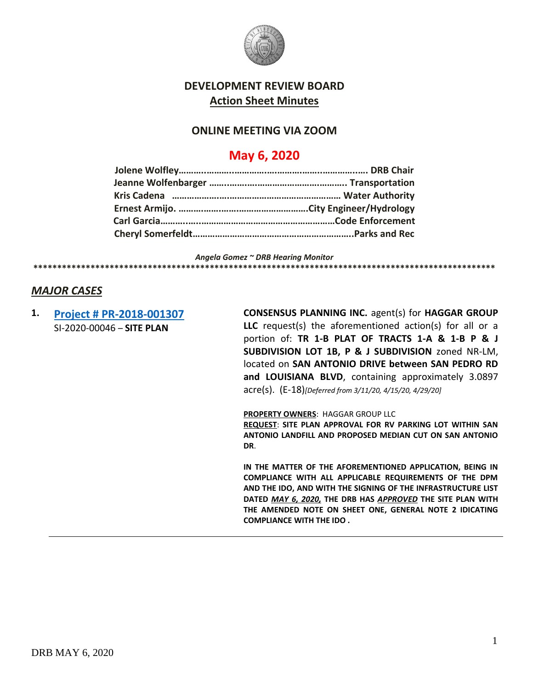

### **DEVELOPMENT REVIEW BOARD Action Sheet Minutes**

#### **ONLINE MEETING VIA ZOOM**

# **May 6, 2020**

*Angela Gomez ~ DRB Hearing Monitor* **\*\*\*\*\*\*\*\*\*\*\*\*\*\*\*\*\*\*\*\*\*\*\*\*\*\*\*\*\*\*\*\*\*\*\*\*\*\*\*\*\*\*\*\*\*\*\*\*\*\*\*\*\*\*\*\*\*\*\*\*\*\*\*\*\*\*\*\*\*\*\*\*\*\*\*\*\*\*\*\*\*\*\*\*\*\*\*\*\*\*\*\*\*\*\*\*\***

#### *MAJOR CASES*

**1. [Project # PR-2018-001307](http://data.cabq.gov/government/planning/DRB/PR-2018-001307/DRB%20submittals/PR-2018-001307_Apr_29_2020_Supp/Application/4.27.2020%20San%20Antonio%20RV%20Storage%20Site%20Plan-DRB%20Compressed.pdf)** SI-2020-00046 – **SITE PLAN**

**CONSENSUS PLANNING INC.** agent(s) for **HAGGAR GROUP LLC** request(s) the aforementioned action(s) for all or a portion of: **TR 1-B PLAT OF TRACTS 1-A & 1-B P & J SUBDIVISION LOT 1B, P & J SUBDIVISION** zoned NR-LM, located on **SAN ANTONIO DRIVE between SAN PEDRO RD and LOUISIANA BLVD**, containing approximately 3.0897 acre(s). (E-18)*[Deferred from 3/11/20, 4/15/20, 4/29/20]*

**PROPERTY OWNERS**: HAGGAR GROUP LLC

**REQUEST**: **SITE PLAN APPROVAL FOR RV PARKING LOT WITHIN SAN ANTONIO LANDFILL AND PROPOSED MEDIAN CUT ON SAN ANTONIO DR**.

**IN THE MATTER OF THE AFOREMENTIONED APPLICATION, BEING IN COMPLIANCE WITH ALL APPLICABLE REQUIREMENTS OF THE DPM AND THE IDO, AND WITH THE SIGNING OF THE INFRASTRUCTURE LIST DATED** *MAY 6, 2020,* **THE DRB HAS** *APPROVED* **THE SITE PLAN WITH THE AMENDED NOTE ON SHEET ONE, GENERAL NOTE 2 IDICATING COMPLIANCE WITH THE IDO .**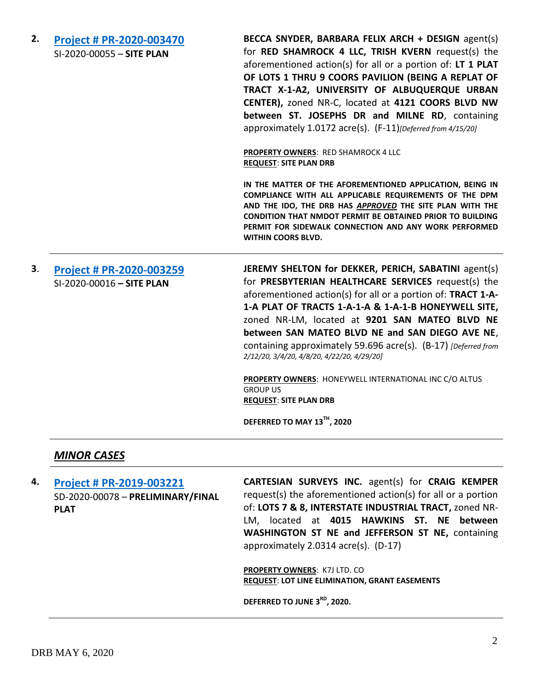**2. [Project # PR-2020-003470](http://data.cabq.gov/government/planning/DRB/PR-2020-003470/DRB%20Submittals/)** SI-2020-00055 – **SITE PLAN BECCA SNYDER, BARBARA FELIX ARCH + DESIGN** agent(s) for **RED SHAMROCK 4 LLC, TRISH KVERN** request(s) the aforementioned action(s) for all or a portion of: **LT 1 PLAT OF LOTS 1 THRU 9 COORS PAVILION (BEING A REPLAT OF TRACT X-1-A2, UNIVERSITY OF ALBUQUERQUE URBAN CENTER),** zoned NR-C, located at **4121 COORS BLVD NW between ST. JOSEPHS DR and MILNE RD**, containing approximately 1.0172 acre(s). (F-11)*[Deferred from 4/15/20]* **PROPERTY OWNERS**: RED SHAMROCK 4 LLC **REQUEST**: **SITE PLAN DRB IN THE MATTER OF THE AFOREMENTIONED APPLICATION, BEING IN COMPLIANCE WITH ALL APPLICABLE REQUIREMENTS OF THE DPM AND THE IDO, THE DRB HAS** *APPROVED* **THE SITE PLAN WITH THE CONDITION THAT NMDOT PERMIT BE OBTAINED PRIOR TO BUILDING PERMIT FOR SIDEWALK CONNECTION AND ANY WORK PERFORMED WITHIN COORS BLVD. 3**. **[Project # PR-2020-003259](http://data.cabq.gov/government/planning/DRB/PR-2020-003259/DRB%20Submittals/PR-2020-003259_Feb_12_2020/Application/)** SI-2020-00016 **– SITE PLAN JEREMY SHELTON for DEKKER, PERICH, SABATINI** agent(s) for **PRESBYTERIAN HEALTHCARE SERVICES** request(s) the aforementioned action(s) for all or a portion of: **TRACT 1-A-1-A PLAT OF TRACTS 1-A-1-A & 1-A-1-B HONEYWELL SITE,** zoned NR-LM, located at **9201 SAN MATEO BLVD NE between SAN MATEO BLVD NE and SAN DIEGO AVE NE**, containing approximately 59.696 acre(s). (B-17) *[Deferred from 2/12/20, 3/4/20, 4/8/20, 4/22/20, 4/29/20]* **PROPERTY OWNERS**: HONEYWELL INTERNATIONAL INC C/O ALTUS GROUP US **REQUEST**: **SITE PLAN DRB DEFERRED TO MAY 13TH, 2020**

#### *MINOR CASES*

**4. [Project # PR-2019-003221](http://data.cabq.gov/government/planning/DRB/PR-2019-003221/DRB%20Submittals/PR-2020-003221_May_06_2020/Application/PR-2019-00130%20FINAL%20PLAT%20SUBMITTAL.pdf)** SD-2020-00078 – **PRELIMINARY/FINAL PLAT**

**CARTESIAN SURVEYS INC.** agent(s) for **CRAIG KEMPER** request(s) the aforementioned action(s) for all or a portion of: **LOTS 7 & 8, INTERSTATE INDUSTRIAL TRACT,** zoned NR-LM, located at **4015 HAWKINS ST. NE between WASHINGTON ST NE and JEFFERSON ST NE,** containing approximately 2.0314 acre(s). (D-17)

**PROPERTY OWNERS**: K7J LTD. CO **REQUEST**: **LOT LINE ELIMINATION, GRANT EASEMENTS**

**DEFERRED TO JUNE 3RD , 2020.**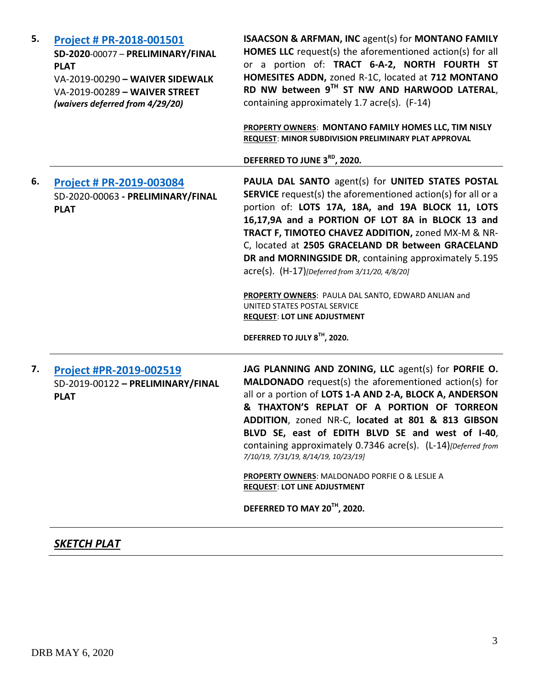| 5. | Project # PR-2018-001501<br>SD-2020-00077 - PRELIMINARY/FINAL<br><b>PLAT</b><br>VA-2019-00290 - WAIVER SIDEWALK<br>VA-2019-00289 - WAIVER STREET<br>(waivers deferred from 4/29/20) | <b>ISAACSON &amp; ARFMAN, INC agent(s) for MONTANO FAMILY</b><br>HOMES LLC request(s) the aforementioned action(s) for all<br>or a portion of: TRACT 6-A-2, NORTH FOURTH ST<br>HOMESITES ADDN, zoned R-1C, located at 712 MONTANO<br>RD NW between 9TH ST NW AND HARWOOD LATERAL,<br>containing approximately 1.7 acre(s). (F-14)<br>PROPERTY OWNERS: MONTANO FAMILY HOMES LLC, TIM NISLY<br>REQUEST: MINOR SUBDIVISION PRELIMINARY PLAT APPROVAL<br>DEFERRED TO JUNE 3RD, 2020.                                                                                                                                     |
|----|-------------------------------------------------------------------------------------------------------------------------------------------------------------------------------------|----------------------------------------------------------------------------------------------------------------------------------------------------------------------------------------------------------------------------------------------------------------------------------------------------------------------------------------------------------------------------------------------------------------------------------------------------------------------------------------------------------------------------------------------------------------------------------------------------------------------|
| 6. | <b>Project # PR-2019-003084</b><br>SD-2020-00063 - PRELIMINARY/FINAL<br><b>PLAT</b>                                                                                                 | PAULA DAL SANTO agent(s) for UNITED STATES POSTAL<br><b>SERVICE</b> request(s) the aforementioned action(s) for all or a<br>portion of: LOTS 17A, 18A, and 19A BLOCK 11, LOTS<br>16,17,9A and a PORTION OF LOT 8A in BLOCK 13 and<br>TRACT F, TIMOTEO CHAVEZ ADDITION, zoned MX-M & NR-<br>C, located at 2505 GRACELAND DR between GRACELAND<br>DR and MORNINGSIDE DR, containing approximately 5.195<br>acre(s). (H-17)[Deferred from 3/11/20, 4/8/20]<br>PROPERTY OWNERS: PAULA DAL SANTO, EDWARD ANLIAN and<br>UNITED STATES POSTAL SERVICE<br><b>REQUEST: LOT LINE ADJUSTMENT</b><br>DEFERRED TO JULY 8TH, 2020. |
| 7. | Project #PR-2019-002519<br>SD-2019-00122 - PRELIMINARY/FINAL<br><b>PLAT</b>                                                                                                         | JAG PLANNING AND ZONING, LLC agent(s) for PORFIE O.<br><b>MALDONADO</b> request(s) the aforementioned action(s) for<br>all or a portion of LOTS 1-A AND 2-A, BLOCK A, ANDERSON<br>& THAXTON'S REPLAT OF A PORTION OF TORREON<br>ADDITION, zoned NR-C, located at 801 & 813 GIBSON<br>BLVD SE, east of EDITH BLVD SE and west of I-40,<br>containing approximately 0.7346 acre(s). (L-14) [Deferred from<br>7/10/19, 7/31/19, 8/14/19, 10/23/19]<br><b>PROPERTY OWNERS: MALDONADO PORFIE O &amp; LESLIE A</b><br><b>REQUEST: LOT LINE ADJUSTMENT</b><br>DEFERRED TO MAY 20TH, 2020.                                   |

## *SKETCH PLAT*